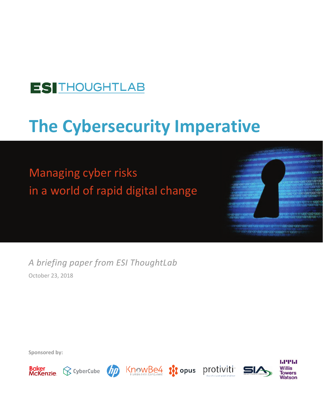## **ES THOUGHTLAB**

# **The Cybersecurity Imperative**

## Managing cyber risks in a world of rapid digital change



*A briefing paper from ESI ThoughtLab* October 23, 2018

**Sponsored by:** 







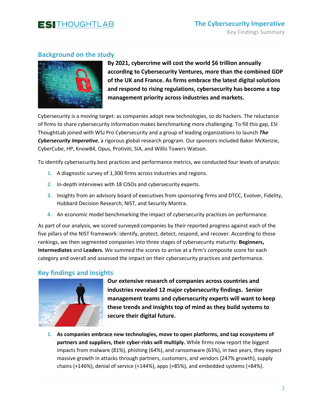#### **Background on the study**



**By 2021, cybercrime will cost the world \$6 trillion annually according to Cybersecurity Ventures, more than the combined GDP of the UK and France. As firms embrace the latest digital solutions and respond to rising regulations, cybersecurity has become a top management priority across industries and markets.**

Cybersecurity is a moving target: as companies adopt new technologies, so do hackers. The reluctance of firms to share cybersecurity information makes benchmarking more challenging. To fill this gap, ESI ThoughtLab joined with WSJ Pro Cybersecurity and a group of leading organizations to launch *The Cybersecurity Imperative*, a rigorous global research program. Our sponsors included Baker McKenzie, CyberCube, HP, KnowB4, Opus, Protiviti, SIA, and Willis Towers Watson.

To identify cybersecurity best practices and performance metrics, we conducted four levels of analysis:

- **1.** A diagnostic survey of 1,300 firms across industries and regions.
- **2.** In-depth interviews with 18 CISOs and cybersecurity experts.
- **3.** Insights from an advisory board of executives from sponsoring firms and DTCC, Evolver, Fidelity, Hubbard Decision Research, NIST, and Security Mantra.
- **4.** An economic model benchmarking the impact of cybersecurity practices on performance.

As part of our analysis, we scored surveyed companies by their reported progress against each of the five pillars of the NIST framework: identify, protect, detect, respond, and recover. According to those rankings, we then segmented companies into three stages of cybersecurity maturity: **Beginners, Intermediates** and **Leaders**. We summed the scores to arrive at a firm's composite score for each category and overall and assessed the impact on their cybersecurity practices and performance.

#### **Key findings and insights**



**Our extensive research of companies across countries and industries revealed 12 major cybersecurity findings. Senior management teams and cybersecurity experts will want to keep these trends and insights top of mind as they build systems to secure their digital future.**

**1. As companies embrace new technologies, move to open platforms, and tap ecosystems of partners and suppliers, their cyber-risks will multiply.** While firms now report the biggest impacts from malware (81%), phishing (64%), and ransomware (63%), in two years, they expect massive growth in attacks through partners, customers, and vendors (247% growth), supply chains (+146%), denial of service (+144%), apps (+85%), and embedded systems (+84%).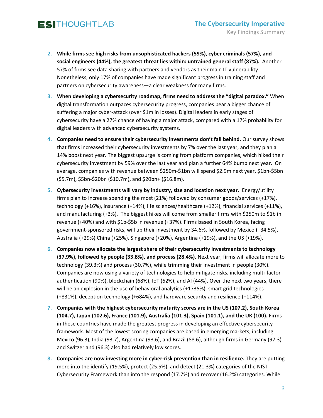- **2. While firms see high risks from unsophisticated hackers (59%), cyber criminals (57%), and social engineers (44%), the greatest threat lies within: untrained general staff (87%).** Another 57% of firms see data sharing with partners and vendors as their main IT vulnerability. Nonetheless, only 17% of companies have made significant progress in training staff and partners on cybersecurity awareness—a clear weakness for many firms.
- **3. When developing a cybersecurity roadmap, firms need to address the "digital paradox."** When digital transformation outpaces cybersecurity progress, companies bear a bigger chance of suffering a major cyber-attack (over \$1m in losses). Digital leaders in early stages of cybersecurity have a 27% chance of having a major attack, compared with a 17% probability for digital leaders with advanced cybersecurity systems.
- **4. Companies need to ensure their cybersecurity investments don't fall behind.** Our survey shows that firms increased their cybersecurity investments by 7% over the last year, and they plan a 14% boost next year. The biggest upsurge is coming from platform companies, which hiked their cybersecurity investment by 59% over the last year and plan a further 64% bump next year. On average, companies with revenue between \$250m-\$1bn will spend \$2.9m next year, \$1bn-\$5bn (\$5.7m), \$5bn-\$20bn (\$10.7m), and \$20bn+ (\$16.8m).
- **5. Cybersecurity investments will vary by industry, size and location next year.** Energy/utility firms plan to increase spending the most (21%) followed by consumer goods/services (+17%), technology (+16%), insurance (+14%), life sciences/healthcare (+12%), financial services (+11%), and manufacturing (+3%). The biggest hikes will come from smaller firms with \$250m to \$1b in revenue (+40%) and with \$1b-\$5b in revenue (+37%). Firms based in South Korea, facing government-sponsored risks, will up their investment by 34.6%, followed by Mexico (+34.5%), Australia (+29%) China (+25%), Singapore (+20%), Argentina (+19%), and the US (+19%).
- **6. Companies now allocate the largest share of their cybersecurity investments to technology**  (**37.9%), followed by people (33.8%), and process (28.4%).** Next year, firms will allocate more to technology (39.3%) and process (30.7%), while trimming their investment in people (30%). Companies are now using a variety of technologies to help mitigate risks, including multi-factor authentication (90%), blockchain (68%), IoT (62%), and AI (44%). Over the next two years, there will be an explosion in the use of behavioral analytics (+1735%), smart grid technologies (+831%), deception technology (+684%), and hardware security and resilience (+114%).
- **7. Companies with the highest cybersecurity maturity scores are in the US (107.2), South Korea (104.7), Japan (102.6), France (101.9), Australia (101.3), Spain (101.1), and the UK (100).** Firms in these countries have made the greatest progress in developing an effective cybersecurity framework. Most of the lowest scoring companies are based in emerging markets, including Mexico (96.3), India (93.7), Argentina (93.6), and Brazil (88.6), although firms in Germany (97.3) and Switzerland (96.3) also had relatively low scores.
- **8. Companies are now investing more in cyber-risk prevention than in resilience.** They are putting more into the identify (19.5%), protect (25.5%), and detect (21.3%) categories of the NIST Cybersecurity Framework than into the respond (17.7%) and recover (16.2%) categories. While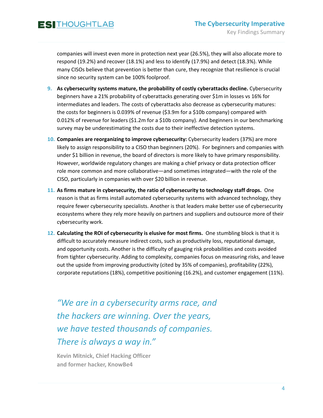companies will invest even more in protection next year (26.5%), they will also allocate more to respond (19.2%) and recover (18.1%) and less to identify (17.9%) and detect (18.3%). While many CISOs believe that prevention is better than cure, they recognize that resilience is crucial since no security system can be 100% foolproof.

- **9. As cybersecurity systems mature, the probability of costly cyberattacks decline.** Cybersecurity beginners have a 21% probability of cyberattacks generating over \$1m in losses vs 16% for intermediates and leaders. The costs of cyberattacks also decrease as cybersecurity matures: the costs for beginners is 0.039% of revenue (\$3.9m for a \$10b company) compared with 0.012% of revenue for leaders (\$1.2m for a \$10b company). And beginners in our benchmarking survey may be underestimating the costs due to their ineffective detection systems.
- **10. Companies are reorganizing to improve cybersecurity:** Cybersecurity leaders (37%) are more likely to assign responsibility to a CISO than beginners (20%). For beginners and companies with under \$1 billion in revenue, the board of directors is more likely to have primary responsibility. However, worldwide regulatory changes are making a chief privacy or data protection officer role more common and more collaborative—and sometimes integrated—with the role of the CISO, particularly in companies with over \$20 billion in revenue.
- **11. As firms mature in cybersecurity, the ratio of cybersecurity to technology staff drops.** One reason is that as firms install automated cybersecurity systems with advanced technology, they require fewer cybersecurity specialists. Another is that leaders make better use of cybersecurity ecosystems where they rely more heavily on partners and suppliers and outsource more of their cybersecurity work.
- **12. Calculating the ROI of cybersecurity is elusive for most firms.** One stumbling block is that it is difficult to accurately measure indirect costs, such as productivity loss, reputational damage, and opportunity costs. Another is the difficulty of gauging risk probabilities and costs avoided from tighter cybersecurity. Adding to complexity, companies focus on measuring risks, and leave out the upside from improving productivity (cited by 35% of companies), profitability (22%), corporate reputations (18%), competitive positioning (16.2%), and customer engagement (11%).

*"We are in a cybersecurity arms race, and the hackers are winning. Over the years, we have tested thousands of companies. There is always a way in."* 

**Kevin Mitnick, Chief Hacking Officer and former hacker, KnowBe4**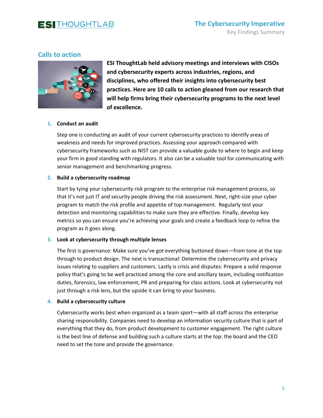### **ESITHOUGHTLAB**

#### **Calls to action**



**ESI ThoughtLab held advisory meetings and interviews with CISOs and cybersecurity experts across industries, regions, and disciplines, who offered their insights into cybersecurity best practices. Here are 10 calls to action gleaned from our research that will help firms bring their cybersecurity programs to the next level of excellence.**

#### **1. Conduct an audit**

Step one is conducting an audit of your current cybersecurity practices to identify areas of weakness and needs for improved practices. Assessing your approach compared with cybersecurity frameworks such as NIST can provide a valuable guide to where to begin and keep your firm in good standing with regulators. It also can be a valuable tool for communicating with senior management and benchmarking progress.

#### **2. Build a cybersecurity roadmap**

Start by tying your cybersecurity risk program to the enterprise risk management process, so that it's not just IT and security people driving the risk assessment. Next, right-size your cyber program to match the risk profile and appetite of top management. Regularly test your detection and monitoring capabilities to make sure they are effective. Finally, develop key metrics so you can ensure you're achieving your goals and create a feedback loop to refine the program as it goes along.

#### **3. Look at cybersecurity through multiple lenses**

The first is governance: Make sure you've got everything buttoned down—from tone at the top through to product design. The next is transactional: Determine the cybersecurity and privacy issues relating to suppliers and customers. Lastly is crisis and disputes: Prepare a solid response policy that's going to be well practiced among the core and ancillary team, including notification duties, forensics, law enforcement, PR and preparing for class actions. Look at cybersecurity not just through a risk lens, but the upside it can bring to your business.

#### **4. Build a cybersecurity culture**

Cybersecurity works best when organized as a team sport—with all staff across the enterprise sharing responsibility. Companies need to develop an information security culture that is part of everything that they do, from product development to customer engagement. The right culture is the best line of defense and building such a culture starts at the top: the board and the CEO need to set the tone and provide the governance.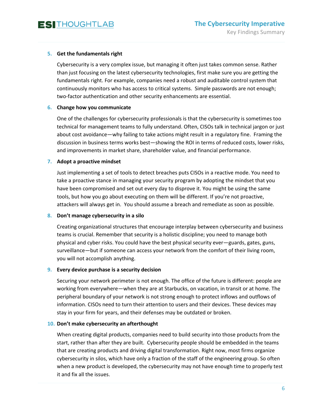#### **5. Get the fundamentals right**

Cybersecurity is a very complex issue, but managing it often just takes common sense. Rather than just focusing on the latest cybersecurity technologies, first make sure you are getting the fundamentals right. For example, companies need a robust and auditable control system that continuously monitors who has access to critical systems. Simple passwords are not enough; two-factor authentication and other security enhancements are essential.

#### **6. Change how you communicate**

One of the challenges for cybersecurity professionals is that the cybersecurity is sometimes too technical for management teams to fully understand. Often, CISOs talk in technical jargon or just about cost avoidance—why failing to take actions might result in a regulatory fine. Framing the discussion in business terms works best—showing the ROI in terms of reduced costs, lower risks, and improvements in market share, shareholder value, and financial performance.

#### **7. Adopt a proactive mindset**

Just implementing a set of tools to detect breaches puts CISOs in a reactive mode. You need to take a proactive stance in managing your security program by adopting the mindset that you have been compromised and set out every day to disprove it. You might be using the same tools, but how you go about executing on them will be different. If you're not proactive, attackers will always get in. You should assume a breach and remediate as soon as possible.

#### **8. Don't manage cybersecurity in a silo**

Creating organizational structures that encourage interplay between cybersecurity and business teams is crucial. Remember that security is a holistic discipline; you need to manage both physical and cyber risks. You could have the best physical security ever—guards, gates, guns, surveillance—but if someone can access your network from the comfort of their living room, you will not accomplish anything.

#### **9. Every device purchase is a security decision**

Securing your network perimeter is not enough. The office of the future is different: people are working from everywhere—when they are at Starbucks, on vacation, in transit or at home. The peripheral boundary of your network is not strong enough to protect inflows and outflows of information. CISOs need to turn their attention to users and their devices. These devices may stay in your firm for years, and their defenses may be outdated or broken.

#### **10. Don't make cybersecurity an afterthought**

When creating digital products, companies need to build security into those products from the start, rather than after they are built. Cybersecurity people should be embedded in the teams that are creating products and driving digital transformation. Right now, most firms organize cybersecurity in silos, which have only a fraction of the staff of the engineering group. So often when a new product is developed, the cybersecurity may not have enough time to properly test it and fix all the issues.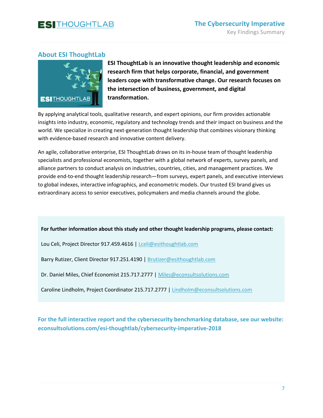### **ESITHOUGHTLAB**

#### **About ESI ThoughtLab**



**ESI ThoughtLab is an innovative thought leadership and economic research firm that helps corporate, financial, and government leaders cope with transformative change. Our research focuses on the intersection of business, government, and digital transformation.**

By applying analytical tools, qualitative research, and expert opinions, our firm provides actionable insights into industry, economic, regulatory and technology trends and their impact on business and the world. We specialize in creating next-generation thought leadership that combines visionary thinking with evidence-based research and innovative content delivery.

An agile, collaborative enterprise, ESI ThoughtLab draws on its in-house team of thought leadership specialists and professional economists, together with a global network of experts, survey panels, and alliance partners to conduct analysis on industries, countries, cities, and management practices. We provide end-to-end thought leadership research—from surveys, expert panels, and executive interviews to global indexes, interactive infographics, and econometric models. Our trusted ESI brand gives us extraordinary access to senior executives, policymakers and media channels around the globe.

**For further information about this study and other thought leadership programs, please contact:** 

Lou Celi, Project Director 917.459.4616 [| Lceli@esithoughtlab.com](mailto:Lceli@esithoughtlab.com)

Barry Rutizer, Client Director 917.251.4190 [| Brutizer@esithoughtlab.com](mailto:Brutizer@esithoughtlab.com)

Dr. Daniel Miles, Chief Economist 215.717.2777 | [Miles@econsultsolutions.com](mailto:Miles@econsultsolutions.com)

Caroline Lindholm, Project Coordinator 215.717.2777 | [Lindholm@econsultsolutions.com](mailto:Lindholm@econsultsolutions.com)

**[For the full interactive report and the cybersecurity benchmarking database, see our website:](https://econsultsolutions.com/esi-thoughtlab/cybersecurity-imperative-2018)  [econsultsolutions.com/esi-thoughtlab/cybersecurity-imperative-2018](https://econsultsolutions.com/esi-thoughtlab/cybersecurity-imperative-2018)**